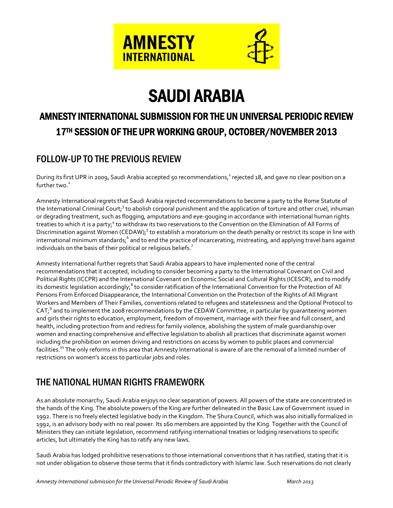

# SAUDI ARABIA

## AMNESTY INTERNATIONAL SUBMISSION FOR THE UN UNIVERSAL PERIODIC REVIEW 17TH SESSION OF THE UPR WORKING GROUP, OCTOBER/NOVEMBER 2013

### FOLLOW-UP TO THE PREVIOUS REVIEW

During its first UPR in 2009, Saudi Arabia accepted 50 recommendations,<sup>1</sup> rejected 18, and gave no clear position on a further two $^2$ 

Amnesty International regrets that Saudi Arabia rejected recommendations to become a party to the Rome Statute of the International Criminal Court;<sup>3</sup> to abolish corporal punishment and the application of torture and other cruel, inhuman or degrading treatment, such as flogging, amputations and eye-gouging in accordance with international human rights treaties to which it is a party;<sup>4</sup> to withdraw its two reservations to the Convention on the Elimination of All Forms of Discrimination against Women (CEDAW);<sup>5</sup> to establish a moratorium on the death penalty or restrict its scope in line with international minimum standards; $^6$  and to end the practice of incarcerating, mistreating, and applying travel bans against individuals on the basis of their political or religious beliefs.<sup>7</sup>

Amnesty International further regrets that Saudi Arabia appears to have implemented none of the central recommendations that it accepted, including to consider becoming a party to the International Covenant on Civil and Political Rights (ICCPR) and the International Covenant on Economic Social and Cultural Rights (ICESCR), and to modify its domestic legislation accordingly;<sup>8</sup> to consider ratification of the International Convention for the Protection of All Persons From Enforced Disappearance, the International Convention on the Protection of the Rights of All Migrant Workers and Members of Their Families, conventions related to refugees and statelessness and the Optional Protocol to CAT;<sup>9</sup> and to implement the 2008 recommendations by the CEDAW Committee, in particular by guaranteeing women and girls their rights to education, employment, freedom of movement, marriage with their free and full consent, and health, including protection from and redress for family violence, abolishing the system of male guardianship over women and enacting comprehensive and effective legislation to abolish all practices that discriminate against women including the prohibition on women driving and restrictions on access by women to public places and commercial facilities.<sup>10</sup> The only reforms in this area that Amnesty International is aware of are the removal of a limited number of restrictions on women's access to particular jobs and roles.

### THE NATIONAL HUMAN RIGHTS FRAMEWORK

As an absolute monarchy, Saudi Arabia enjoys no clear separation of powers. All powers of the state are concentrated in the hands of the King. The absolute powers of the King are further delineated in the Basic Law of Government issued in 1992. There is no freely elected legislative body in the Kingdom. The Shura Council, which was also initially formalized in 1992, is an advisory body with no real power. Its 160 members are appointed by the King. Together with the Council of Ministers they can initiate legislation, recommend ratifying international treaties or lodging reservations to specific articles, but ultimately the King has to ratify any new laws.

Saudi Arabia has lodged prohibitive reservations to those international conventions that it has ratified, stating that it is not under obligation to observe those terms that it finds contradictory with Islamic law. Such reservations do not clearly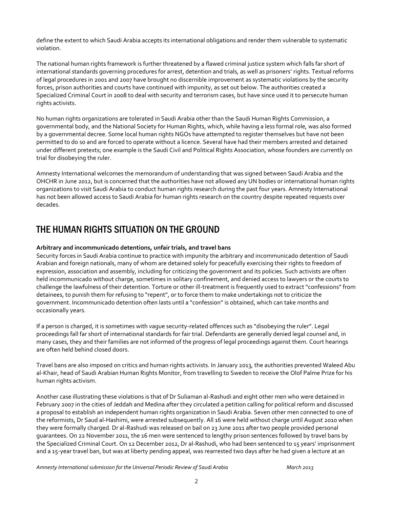define the extent to which Saudi Arabia accepts its international obligations and render them vulnerable to systematic violation.

The national human rights framework is further threatened by a flawed criminal justice system which falls far short of international standards governing procedures for arrest, detention and trials, as well as prisoners' rights. Textual reforms of legal procedures in 2001 and 2007 have brought no discernible improvement as systematic violations by the security forces, prison authorities and courts have continued with impunity, as set out below. The authorities created a Specialized Criminal Court in 2008 to deal with security and terrorism cases, but have since used it to persecute human rights activists.

No human rights organizations are tolerated in Saudi Arabia other than the Saudi Human Rights Commission, a governmental body, and the National Society for Human Rights, which, while having a less formal role, was also formed by a governmental decree. Some local human rights NGOs have attempted to register themselves but have not been permitted to do so and are forced to operate without a licence. Several have had their members arrested and detained under different pretexts; one example is the Saudi Civil and Political Rights Association, whose founders are currently on trial for disobeying the ruler.

Amnesty International welcomes the memorandum of understanding that was signed between Saudi Arabia and the OHCHR in June 2012, but is concerned that the authorities have not allowed any UN bodies or international human rights organizations to visit Saudi Arabia to conduct human rights research during the past four years. Amnesty International has not been allowed access to Saudi Arabia for human rights research on the country despite repeated requests over decades.

### THE HUMAN RIGHTS SITUATION ON THE GROUND

### **Arbitrary and incommunicado detentions, unfair trials, and travel bans**

Security forces in Saudi Arabia continue to practice with impunity the arbitrary and incommunicado detention of Saudi Arabian and foreign nationals, many of whom are detained solely for peacefully exercising their rights to freedom of expression, association and assembly, including for criticizing the government and its policies. Such activists are often held incommunicado without charge, sometimes in solitary confinement, and denied access to lawyers or the courts to challenge the lawfulness of their detention. Torture or other ill-treatment is frequently used to extract "confessions" from detainees, to punish them for refusing to "repent", or to force them to make undertakings not to criticize the government. Incommunicado detention often lasts until a "confession" is obtained, which can take months and occasionally years.

If a person is charged, it is sometimes with vague security-related offences such as "disobeying the ruler". Legal proceedings fall far short of international standards for fair trial. Defendants are generally denied legal counsel and, in many cases, they and their families are not informed of the progress of legal proceedings against them. Court hearings are often held behind closed doors.

Travel bans are also imposed on critics and human rights activists. In January 2013, the authorities prevented Waleed Abu al-Khair, head of Saudi Arabian Human Rights Monitor, from travelling to Sweden to receive the Olof Palme Prize for his human rights activism.

Another case illustrating these violations is that of Dr Suliaman al-Rashudi and eight other men who were detained in February 2007 in the cities of Jeddah and Medina after they circulated a petition calling for political reform and discussed a proposal to establish an independent human rights organization in Saudi Arabia. Seven other men connected to one of the reformists, Dr Saud al-Hashimi, were arrested subsequently. All 16 were held without charge until August 2010 when they were formally charged. Dr al-Rashudi was released on bail on 23 June 2011 after two people provided personal guarantees. On 22 November 2011, the 16 men were sentenced to lengthy prison sentences followed by travel bans by the Specialized Criminal Court. On 12 December 2012, Dr al-Rashudi, who had been sentenced to 15 years' imprisonment and a 15-year travel ban, but was at liberty pending appeal, was rearrested two days after he had given a lecture at an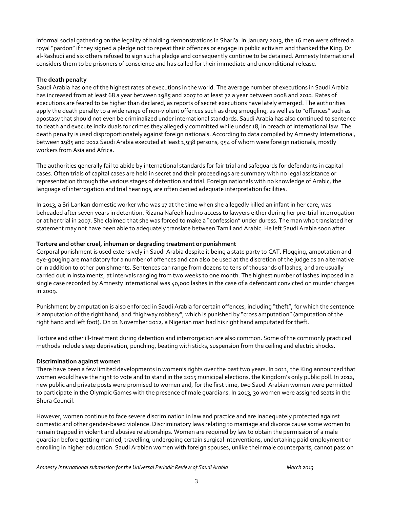informal social gathering on the legality of holding demonstrations in Shari'a. In January 2013, the 16 men were offered a royal "pardon" if they signed a pledge not to repeat their offences or engage in public activism and thanked the King. Dr al-Rashudi and six others refused to sign such a pledge and consequently continue to be detained. Amnesty International considers them to be prisoners of conscience and has called for their immediate and unconditional release.

### **The death penalty**

Saudi Arabia has one of the highest rates of executions in the world. The average number of executions in Saudi Arabia has increased from at least 68 a year between 1985 and 2007 to at least 72 a year between 2008 and 2012. Rates of executions are feared to be higher than declared, as reports of secret executions have lately emerged. The authorities apply the death penalty to a wide range of non-violent offences such as drug smuggling, as well as to "offences" such as apostasy that should not even be criminalized under international standards. Saudi Arabia has also continued to sentence to death and execute individuals for crimes they allegedly committed while under 18, in breach of international law. The death penalty is used disproportionately against foreign nationals. According to data compiled by Amnesty International, between 1985 and 2012 Saudi Arabia executed at least 1,938 persons, 954 of whom were foreign nationals, mostly workers from Asia and Africa.

The authorities generally fail to abide by international standards for fair trial and safeguards for defendants in capital cases. Often trials of capital cases are held in secret and their proceedings are summary with no legal assistance or representation through the various stages of detention and trial. Foreign nationals with no knowledge of Arabic, the language of interrogation and trial hearings, are often denied adequate interpretation facilities.

In 2013, a Sri Lankan domestic worker who was 17 at the time when she allegedly killed an infant in her care, was beheaded after seven years in detention. Rizana Nafeek had no access to lawyers either during her pre-trial interrogation or at her trial in 2007. She claimed that she was forced to make a "confession" under duress. The man who translated her statement may not have been able to adequately translate between Tamil and Arabic. He left Saudi Arabia soon after.

### **Torture and other cruel, inhuman or degrading treatment or punishment**

Corporal punishment is used extensively in Saudi Arabia despite it being a state party to CAT. Flogging, amputation and eye-gouging are mandatory for a number of offences and can also be used at the discretion of the judge as an alternative or in addition to other punishments. Sentences can range from dozens to tens of thousands of lashes, and are usually carried out in instalments, at intervals ranging from two weeks to one month. The highest number of lashes imposed in a single case recorded by Amnesty International was 40,000 lashes in the case of a defendant convicted on murder charges in 2009.

Punishment by amputation is also enforced in Saudi Arabia for certain offences, including "theft", for which the sentence is amputation of the right hand, and "highway robbery", which is punished by "cross amputation" (amputation of the right hand and left foot). On 21 November 2012, a Nigerian man had his right hand amputated for theft.

Torture and other ill-treatment during detention and interrorgation are also common. Some of the commonly practiced methods include sleep deprivation, punching, beating with sticks, suspension from the ceiling and electric shocks.

### **Discrimination against women**

There have been a few limited developments in women's rights over the past two years. In 2011, the King announced that women would have the right to vote and to stand in the 2015 municipal elections, the Kingdom's only public poll. In 2012, new public and private posts were promised to women and, for the first time, two Saudi Arabian women were permitted to participate in the Olympic Games with the presence of male guardians. In 2013, 30 women were assigned seats in the Shura Council.

However, women continue to face severe discrimination in law and practice and are inadequately protected against domestic and other gender-based violence. Discriminatory laws relating to marriage and divorce cause some women to remain trapped in violent and abusive relationships. Women are required by law to obtain the permission of a male guardian before getting married, travelling, undergoing certain surgical interventions, undertaking paid employment or enrolling in higher education. Saudi Arabian women with foreign spouses, unlike their male counterparts, cannot pass on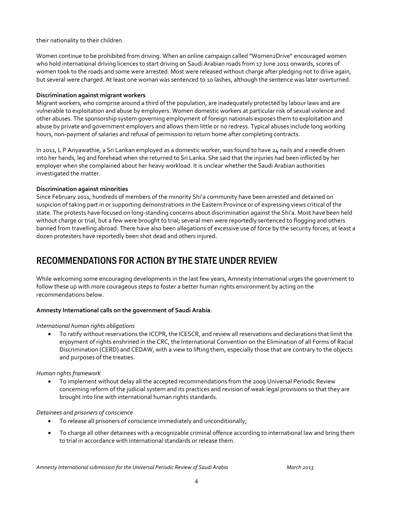their nationality to their children.

Women continue to be prohibited from driving. When an online campaign called "Women2Drive" encouraged women who hold international driving licences to start driving on Saudi Arabian roads from 17 June 2011 onwards, scores of women took to the roads and some were arrested. Most were released without charge after pledging not to drive again, but several were charged. At least one woman was sentenced to 10 lashes, although the sentence was later overturned.

### **Discrimination against migrant workers**

Migrant workers, who comprise around a third of the population, are inadequately protected by labour laws and are vulnerable to exploitation and abuse by employers. Women domestic workers at particular risk of sexual violence and other abuses. The sponsorship system governing employment of foreign nationals exposes them to exploitation and abuse by private and government employers and allows them little or no redress. Typical abuses include long working hours, non-payment of salaries and refusal of permission to return home after completing contracts.

In 2011, L P Ariyawathie, a Sri Lankan employed as a domestic worker, was found to have 24 nails and a needle driven into her hands, leg and forehead when she returned to Sri Lanka. She said that the injuries had been inflicted by her employer when she complained about her heavy workload. It is unclear whether the Saudi Arabian authorities investigated the matter.

### **Discrimination against minorities**

Since February 2011, hundreds of members of the minority Shi'a community have been arrested and detained on suspicion of taking part in or supporting demonstrations in the Eastern Province or of expressing views critical of the state. The protests have focused on long-standing concerns about discrimination against the Shi'a. Most have been held without charge or trial, but a few were brought to trial; several men were reportedly sentenced to flogging and others banned from travelling abroad. There have also been allegations of excessive use of force by the security forces; at least a dozen protesters have reportedly been shot dead and others injured.

### RECOMMENDATIONS FOR ACTION BY THE STATE UNDER REVIEW

While welcoming some encouraging developments in the last few years, Amnesty International urges the government to follow these up with more courageous steps to foster a better human rights environment by acting on the recommendations below.

### **Amnesty International calls on the government of Saudi Arabia**:

### *International human rights obligations*

 To ratify without reservations the ICCPR, the ICESCR, and review all reservations and declarations that limit the enjoyment of rights enshrined in the CRC, the International Convention on the Elimination of all Forms of Racial Discrimination (CERD) and CEDAW, with a view to lifting them, especially those that are contrary to the objects and purposes of the treaties.

### *Human rights framework*

 To implement without delay all the accepted recommendations from the 2009 Universal Periodic Review concerning reform of the judicial system and its practices and revision of weak legal provisions so that they are brought into line with international human rights standards.

### *Detainees and prisoners of conscience*

- To release all prisoners of conscience immediately and unconditionally;
- To charge all other detainees with a recognizable criminal offence according to international law and bring them to trial in accordance with international standards or release them.